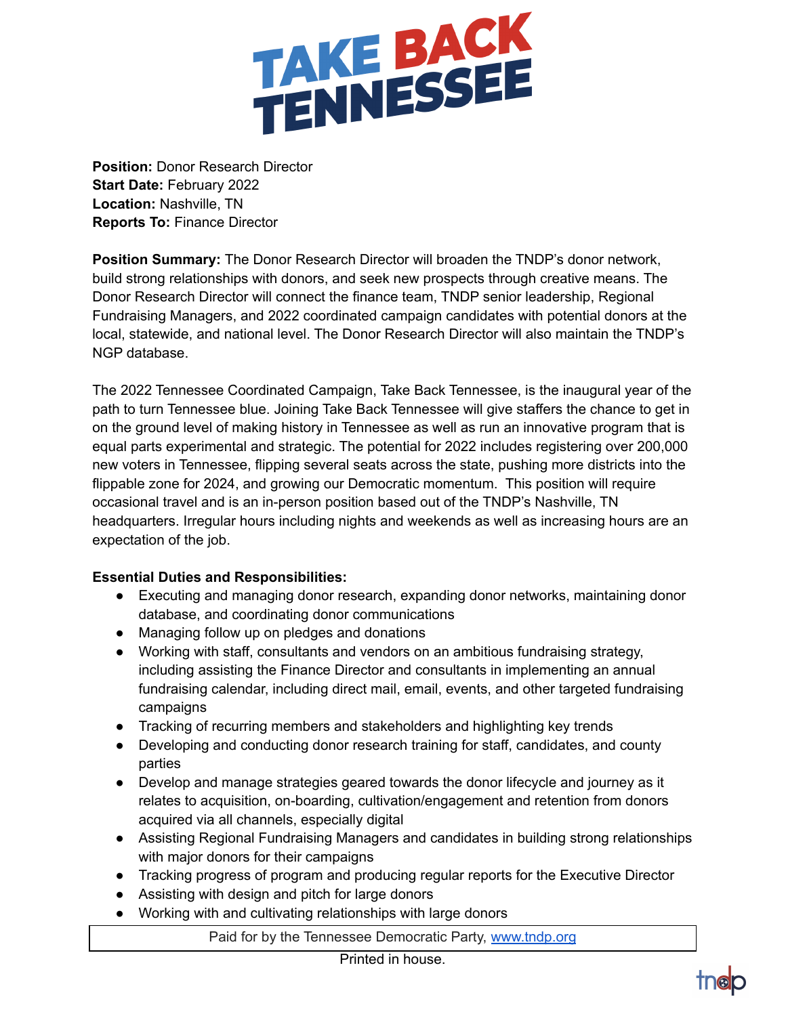

**Position:** Donor Research Director **Start Date:** February 2022 **Location:** Nashville, TN **Reports To:** Finance Director

**Position Summary:** The Donor Research Director will broaden the TNDP's donor network, build strong relationships with donors, and seek new prospects through creative means. The Donor Research Director will connect the finance team, TNDP senior leadership, Regional Fundraising Managers, and 2022 coordinated campaign candidates with potential donors at the local, statewide, and national level. The Donor Research Director will also maintain the TNDP's NGP database.

The 2022 Tennessee Coordinated Campaign, Take Back Tennessee, is the inaugural year of the path to turn Tennessee blue. Joining Take Back Tennessee will give staffers the chance to get in on the ground level of making history in Tennessee as well as run an innovative program that is equal parts experimental and strategic. The potential for 2022 includes registering over 200,000 new voters in Tennessee, flipping several seats across the state, pushing more districts into the flippable zone for 2024, and growing our Democratic momentum. This position will require occasional travel and is an in-person position based out of the TNDP's Nashville, TN headquarters. Irregular hours including nights and weekends as well as increasing hours are an expectation of the job.

## **Essential Duties and Responsibilities:**

- Executing and managing donor research, expanding donor networks, maintaining donor database, and coordinating donor communications
- Managing follow up on pledges and donations
- Working with staff, consultants and vendors on an ambitious fundraising strategy, including assisting the Finance Director and consultants in implementing an annual fundraising calendar, including direct mail, email, events, and other targeted fundraising campaigns
- Tracking of recurring members and stakeholders and highlighting key trends
- Developing and conducting donor research training for staff, candidates, and county parties
- Develop and manage strategies geared towards the donor lifecycle and journey as it relates to acquisition, on-boarding, cultivation/engagement and retention from donors acquired via all channels, especially digital
- Assisting Regional Fundraising Managers and candidates in building strong relationships with major donors for their campaigns
- Tracking progress of program and producing regular reports for the Executive Director
- Assisting with design and pitch for large donors
- Working with and cultivating relationships with large donors

Paid for by the Tennessee Democratic Party, [www.tndp.org](http://www.tndp.org/)

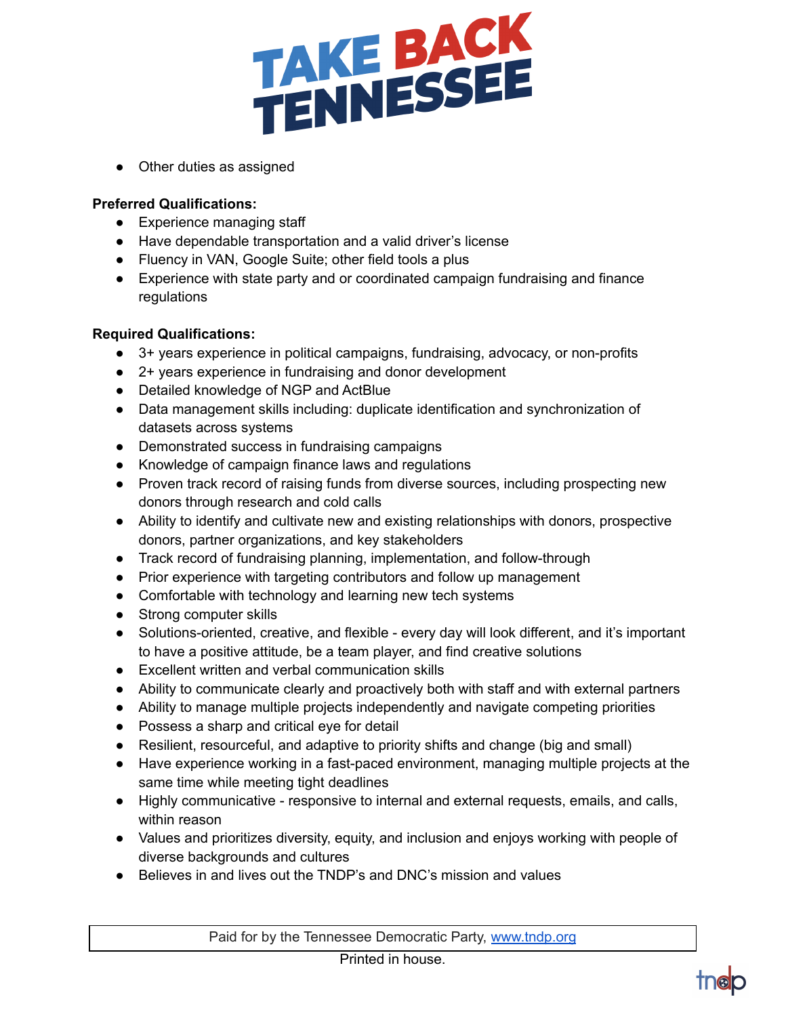

• Other duties as assigned

## **Preferred Qualifications:**

- Experience managing staff
- Have dependable transportation and a valid driver's license
- Fluency in VAN, Google Suite; other field tools a plus
- Experience with state party and or coordinated campaign fundraising and finance regulations

## **Required Qualifications:**

- 3+ years experience in political campaigns, fundraising, advocacy, or non-profits
- 2+ years experience in fundraising and donor development
- Detailed knowledge of NGP and ActBlue
- Data management skills including: duplicate identification and synchronization of datasets across systems
- Demonstrated success in fundraising campaigns
- Knowledge of campaign finance laws and regulations
- Proven track record of raising funds from diverse sources, including prospecting new donors through research and cold calls
- Ability to identify and cultivate new and existing relationships with donors, prospective donors, partner organizations, and key stakeholders
- Track record of fundraising planning, implementation, and follow-through
- Prior experience with targeting contributors and follow up management
- Comfortable with technology and learning new tech systems
- Strong computer skills
- Solutions-oriented, creative, and flexible every day will look different, and it's important to have a positive attitude, be a team player, and find creative solutions
- Excellent written and verbal communication skills
- Ability to communicate clearly and proactively both with staff and with external partners
- Ability to manage multiple projects independently and navigate competing priorities
- Possess a sharp and critical eye for detail
- Resilient, resourceful, and adaptive to priority shifts and change (big and small)
- Have experience working in a fast-paced environment, managing multiple projects at the same time while meeting tight deadlines
- Highly communicative responsive to internal and external requests, emails, and calls, within reason
- Values and prioritizes diversity, equity, and inclusion and enjoys working with people of diverse backgrounds and cultures
- Believes in and lives out the TNDP's and DNC's mission and values